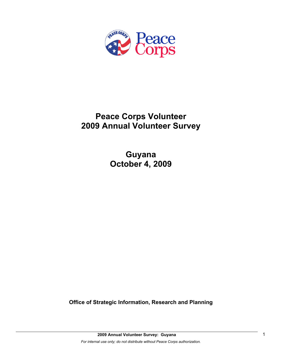

# **Peace Corps Volunteer 2009 Annual Volunteer Survey**

**Guyana October 4, 2009** 

**Office of Strategic Information, Research and Planning**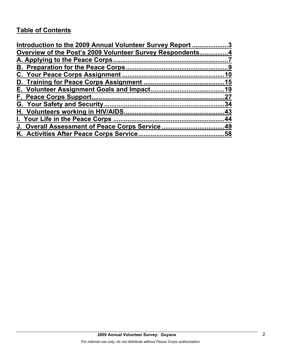# **Table of Contents**

| Introduction to the 2009 Annual Volunteer Survey Report 3 |    |
|-----------------------------------------------------------|----|
| Overview of the Post's 2009 Volunteer Survey Respondents4 |    |
|                                                           |    |
|                                                           |    |
|                                                           |    |
|                                                           |    |
|                                                           |    |
|                                                           | 27 |
|                                                           |    |
|                                                           |    |
|                                                           |    |
|                                                           |    |
|                                                           |    |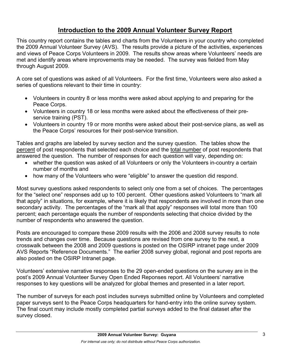# **Introduction to the 2009 Annual Volunteer Survey Report**

This country report contains the tables and charts from the Volunteers in your country who completed the 2009 Annual Volunteer Survey (AVS). The results provide a picture of the activities, experiences and views of Peace Corps Volunteers in 2009. The results show areas where Volunteers' needs are met and identify areas where improvements may be needed. The survey was fielded from May through August 2009.

A core set of questions was asked of all Volunteers. For the first time, Volunteers were also asked a series of questions relevant to their time in country:

- Volunteers in country 8 or less months were asked about applying to and preparing for the Peace Corps.
- Volunteers in country 18 or less months were asked about the effectiveness of their preservice training (PST).
- Volunteers in country 19 or more months were asked about their post-service plans, as well as the Peace Corps' resources for their post-service transition.

Tables and graphs are labeled by survey section and the survey question. The tables show the percent of post respondents that selected each choice and the total number of post respondents that answered the question. The number of responses for each question will vary, depending on:

- whether the question was asked of all Volunteers or only the Volunteers in-country a certain number of months and
- how many of the Volunteers who were "eligible" to answer the question did respond.

Most survey questions asked respondents to select only one from a set of choices. The percentages for the "select one" responses add up to 100 percent. Other questions asked Volunteers to "mark all that apply" in situations, for example, where it is likely that respondents are involved in more than one secondary activity. The percentages of the "mark all that apply" responses will total more than 100 percent; each percentage equals the number of respondents selecting that choice divided by the number of respondents who answered the question.

Posts are encouraged to compare these 2009 results with the 2006 and 2008 survey results to note trends and changes over time. Because questions are revised from one survey to the next, a crosswalk between the 2008 and 2009 questions is posted on the OSIRP intranet page under 2009 AVS Reports "Reference Documents." The earlier 2008 survey global, regional and post reports are also posted on the OSIRP Intranet page.

Volunteers' extensive narrative responses to the 29 open-ended questions on the survey are in the post's 2009 Annual Volunteer Survey Open Ended Reponses report. All Volunteers' narrative responses to key questions will be analyzed for global themes and presented in a later report.

The number of surveys for each post includes surveys submitted online by Volunteers and completed paper surveys sent to the Peace Corps headquarters for hand-entry into the online survey system. The final count may include mostly completed partial surveys added to the final dataset after the survey closed.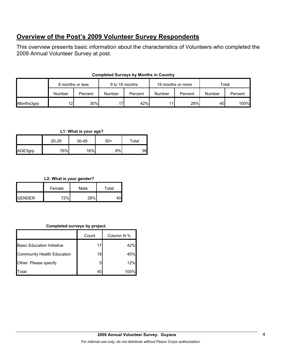# **Overview of the Post's 2009 Volunteer Survey Respondents**

This overview presents basic information about the characteristics of Volunteers who completed the 2009 Annual Volunteer Survey at post.

| <b>Completed Surveys by Months in Country</b> |  |
|-----------------------------------------------|--|
|-----------------------------------------------|--|

|            | 8 months or less |         | 9 to 18 months |         | 19 months or more |         | Total  |         |
|------------|------------------|---------|----------------|---------|-------------------|---------|--------|---------|
|            | Number           | Percent | Number         | Percent | Number            | Percent | Number | Percent |
| Months3grp | 12               | 30%     | 17             | 42%     | 11                | 28%     | 40     | 100%    |

### **L1: What is your age?**

|         | $20 - 29$ | 30-49 | $50+$ | Total |
|---------|-----------|-------|-------|-------|
| AGE3grp | 76%       | 16%   | 8%    | 38    |

#### **L2: What is your gender?**

|                 | Female | Male | Total |  |
|-----------------|--------|------|-------|--|
| <b>I</b> GENDER | 770/   | 28%  |       |  |

## **Completed surveys by project.**

|                                   | Count | Column N % |
|-----------------------------------|-------|------------|
| <b>Basic Education Initiative</b> | 17    | 42%        |
| <b>Community Health Education</b> | 18    | 45%        |
| Other. Please specify             | 5     | 12%        |
| <b>I</b> Total                    | 40    | 100%       |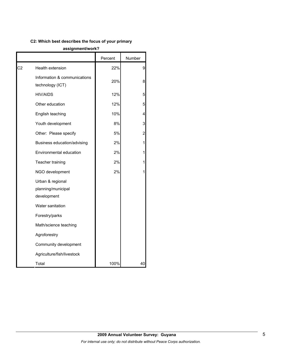## **C2: Which best describes the focus of your primary**

#### **assignment/work?**

|    |                                                       | Percent | Number         |
|----|-------------------------------------------------------|---------|----------------|
| C2 | Health extension                                      | 22%     | 9              |
|    | Information & communications<br>technology (ICT)      | 20%     | 8              |
|    | <b>HIV/AIDS</b>                                       | 12%     | 5              |
|    | Other education                                       | 12%     | 5              |
|    | English teaching                                      | 10%     | 4              |
|    | Youth development                                     | 8%      | 3              |
|    | Other: Please specify                                 | 5%      | $\overline{c}$ |
|    | Business education/advising                           | 2%      | 1              |
|    | Environmental education                               | 2%      | 1              |
|    | Teacher training                                      | 2%      | 1              |
|    | NGO development                                       | 2%      | 1              |
|    | Urban & regional<br>planning/municipal<br>development |         |                |
|    | Water sanitation                                      |         |                |
|    | Forestry/parks                                        |         |                |
|    | Math/science teaching                                 |         |                |
|    | Agroforestry                                          |         |                |
|    | Community development                                 |         |                |
|    | Agriculture/fish/livestock                            |         |                |
|    | Total                                                 | 100%    | 40             |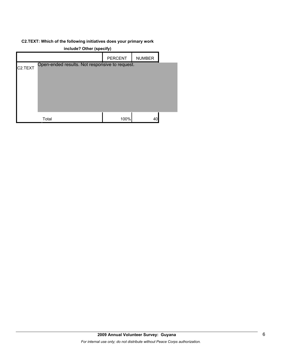### **C2.TEXT: Which of the following initiatives does your primary work**

|         | include? Other (specify)                       |                |               |  |
|---------|------------------------------------------------|----------------|---------------|--|
|         |                                                | <b>PERCENT</b> | <b>NUMBER</b> |  |
| C2.TEXT | Open-ended results. Not responsive to request. |                |               |  |
|         | Total                                          | 100%           | 40            |  |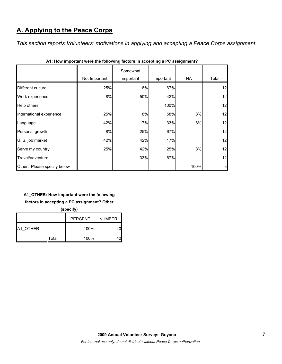# **A. Applying to the Peace Corps**

*This section reports Volunteers' motivations in applying and accepting a Peace Corps assignment.* 

|                             | Not Important | Somewhat<br>important | Important | NA.  | Total |
|-----------------------------|---------------|-----------------------|-----------|------|-------|
| Different culture           | 25%           | 8%                    | 67%       |      | 12    |
| Work experience             | 8%            | 50%                   | 42%       |      | 12    |
| Help others                 |               |                       | 100%      |      | 12    |
| International experience    | 25%           | 8%                    | 58%       | 8%   | 12    |
| Language                    | 42%           | 17%                   | 33%       | 8%   | 12    |
| Personal growth             | 8%            | 25%                   | 67%       |      | 12    |
| U. S. job market            | 42%           | 42%                   | 17%       |      | 12    |
| Serve my country            | 25%           | 42%                   | 25%       | 8%   | 12    |
| Travel/adventure            |               | 33%                   | 67%       |      | 12    |
| Other: Please specify below |               |                       |           | 100% | 3     |

| A1: How important were the following factors in accepting a PC assignment? |  |  |
|----------------------------------------------------------------------------|--|--|
|                                                                            |  |  |

## **A1\_OTHER: How important were the following**

**factors in accepting a PC assignment? Other** 

**(specify)**

|                 |       | <b>PERCENT</b> | <b>NUMBER</b> |
|-----------------|-------|----------------|---------------|
| <b>A1 OTHER</b> |       | 100%           |               |
|                 | Total | 100%           |               |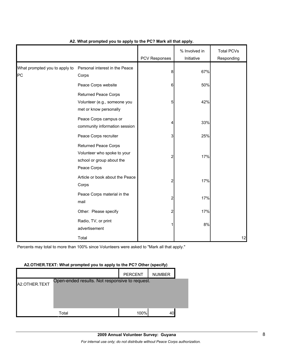|                                            |                                                                                                        | PCV Responses | % Involved in<br>Initiative | <b>Total PCVs</b><br>Responding |
|--------------------------------------------|--------------------------------------------------------------------------------------------------------|---------------|-----------------------------|---------------------------------|
| What prompted you to apply to<br><b>PC</b> | Personal interest in the Peace<br>Corps                                                                | 8             | 67%                         |                                 |
|                                            | Peace Corps website                                                                                    | 6             | 50%                         |                                 |
|                                            | <b>Returned Peace Corps</b><br>Volunteer (e.g., someone you<br>met or know personally                  | 5             | 42%                         |                                 |
|                                            | Peace Corps campus or<br>community information session                                                 | 4             | 33%                         |                                 |
|                                            | Peace Corps recruiter                                                                                  | 3             | 25%                         |                                 |
|                                            | <b>Returned Peace Corps</b><br>Volunteer who spoke to your<br>school or group about the<br>Peace Corps | 2             | 17%                         |                                 |
|                                            | Article or book about the Peace<br>Corps                                                               | 2             | 17%                         |                                 |
|                                            | Peace Corps material in the<br>mail                                                                    | 2             | 17%                         |                                 |
|                                            | Other: Please specify                                                                                  | 2             | 17%                         |                                 |
|                                            | Radio, TV, or print<br>advertisement                                                                   |               | 8%                          |                                 |
|                                            | Total                                                                                                  |               |                             | 12                              |

## **A2. What prompted you to apply to the PC? Mark all that apply.**

Percents may total to more than 100% since Volunteers were asked to "Mark all that apply."

#### **A2.OTHER.TEXT: What prompted you to apply to the PC? Other (specify)**

|               |                                                | <b>PERCENT</b> | <b>NUMBER</b> |  |
|---------------|------------------------------------------------|----------------|---------------|--|
| A2.OTHER.TEXT | Open-ended results. Not responsive to request. |                |               |  |
|               |                                                |                |               |  |
|               |                                                |                |               |  |
|               | Total                                          | 100%           | 40            |  |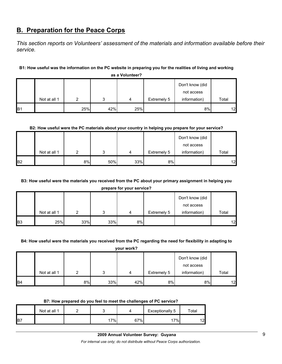## **B. Preparation for the Peace Corps**

*This section reports on Volunteers' assessment of the materials and information available before their service.* 

## **B1: How useful was the information on the PC website in preparing you for the realities of living and working**

|            |              |     |     |     |             | Don't know (did |       |
|------------|--------------|-----|-----|-----|-------------|-----------------|-------|
|            |              |     |     |     |             | not access      |       |
|            | Not at all 1 | ົ   | ິ   | 4   | Extremely 5 | information)    | Total |
| <b>B</b> 1 |              | 25% | 42% | 25% |             | 8%              | 12    |

**as a Volunteer?**

#### **B2: How useful were the PC materials about your country in helping you prepare for your service?**

|                |              |    |     |     |             | Don't know (did |       |
|----------------|--------------|----|-----|-----|-------------|-----------------|-------|
|                |              |    |     |     |             | not access      |       |
|                | Not at all 1 | ົ  | 2   | 4   | Extremely 5 | information)    | Total |
| B <sub>2</sub> |              | 8% | 50% | 33% | 8%          |                 | 12    |

## **B3: How useful were the materials you received from the PC about your primary assignment in helping you**

**prepare for your service?**

|            |              |     |     |    |             | Don't know (did |       |
|------------|--------------|-----|-----|----|-------------|-----------------|-------|
|            |              |     |     |    |             | not access      |       |
|            | Not at all 1 |     | ີ   | 4  | Extremely 5 | information)    | Total |
| <b>B</b> 3 | 25%          | 33% | 33% | 8% |             |                 | 12    |

#### **B4: How useful were the materials you received from the PC regarding the need for flexibility in adapting to**

**your work?**

|                 |              |    |     |     |             | Don't know (did |       |
|-----------------|--------------|----|-----|-----|-------------|-----------------|-------|
|                 |              |    |     |     |             | not access      |       |
|                 | Not at all 1 |    |     | 4   | Extremely 5 | information)    | Total |
| IB <sub>4</sub> |              | 8% | 33% | 42% | 8%          | 8%              | 12    |

#### **B7: How prepared do you feel to meet the challenges of PC service?**

|     | Not at all 1 |     |     | Exceptionally 5 | $\tau$ otal |
|-----|--------------|-----|-----|-----------------|-------------|
| IB7 |              | 17% | 67% | $.7\%$          | 12          |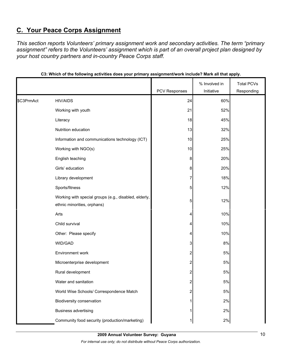# **C. Your Peace Corps Assignment**

*This section reports Volunteers' primary assignment work and secondary activities. The term "primary assignment" refers to the Volunteers' assignment which is part of an overall project plan designed by your host country partners and in-country Peace Corps staff.* 

|            |                                                       |               | % Involved in | <b>Total PCVs</b> |
|------------|-------------------------------------------------------|---------------|---------------|-------------------|
|            |                                                       | PCV Responses | Initiative    | Responding        |
| \$C3PrmAct | <b>HIV/AIDS</b>                                       | 24            | 60%           |                   |
|            | Working with youth                                    | 21            | 52%           |                   |
|            | Literacy                                              | 18            | 45%           |                   |
|            | Nutrition education                                   | 13            | 32%           |                   |
|            | Information and communications technology (ICT)       | 10            | 25%           |                   |
|            | Working with NGO(s)                                   | 10            | 25%           |                   |
|            | English teaching                                      | 8             | 20%           |                   |
|            | Girls' education                                      | 8             | 20%           |                   |
|            | Library development                                   | 7             | 18%           |                   |
|            | Sports/fitness                                        | 5             | 12%           |                   |
|            | Working with special groups (e.g., disabled, elderly, | 5             | 12%           |                   |
|            | ethnic minorities, orphans)                           |               |               |                   |
|            | Arts                                                  | 4             | 10%           |                   |
|            | Child survival                                        | 4             | 10%           |                   |
|            | Other: Please specify                                 | 4             | 10%           |                   |
|            | WID/GAD                                               | 3             | $8\%$         |                   |
|            | Environment work                                      | 2             | $5\%$         |                   |
|            | Microenterprise development                           | 2             | $5\%$         |                   |
|            | Rural development                                     | 2             | 5%            |                   |
|            | Water and sanitation                                  | 2             | $5\%$         |                   |
|            | World Wise Schools/ Correspondence Match              | 2             | 5%            |                   |
|            | Biodiversity conservation                             |               | 2%            |                   |
|            | <b>Business advertising</b>                           |               | 2%            |                   |
|            | Community food security (production/marketing)        |               | 2%            |                   |

## **C3: Which of the following activities does your primary assignment/work include? Mark all that apply.**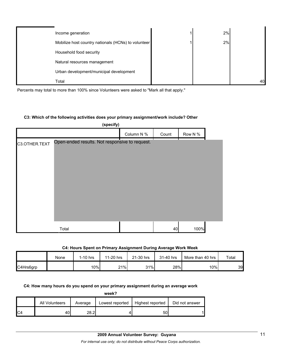| Income generation                                   | 2% |    |
|-----------------------------------------------------|----|----|
| Mobilize host country nationals (HCNs) to volunteer | 2% |    |
| Household food security                             |    |    |
| Natural resources management                        |    |    |
| Urban development/municipal development             |    |    |
| Total                                               |    | 40 |

Percents may total to more than 100% since Volunteers were asked to "Mark all that apply."

#### **C3: Which of the following activities does your primary assignment/work include? Other**

|               | (specify)                                      |            |       |         |  |
|---------------|------------------------------------------------|------------|-------|---------|--|
|               |                                                | Column N % | Count | Row N % |  |
| C3.OTHER.TEXT | Open-ended results. Not responsive to request. |            |       |         |  |
|               | Total                                          |            | 40    | 100%    |  |

## **C4: Hours Spent on Primary Assignment During Average Work Week**

|           | None | $1-10$ hrs | 11-20 hrs | 21-30 hrs | 31-40 hrs | More than 40 hrs | Total |
|-----------|------|------------|-----------|-----------|-----------|------------------|-------|
| C4Hrs6grp |      | 10%        | 21%       | 31%       | 28%       | 10%              | 39    |

## **C4: How many hours do you spend on your primary assignment during an average work**

**week?**

|     | All Volunteers | Average      | Lowest reported | Highest reported | Did not answer |
|-----|----------------|--------------|-----------------|------------------|----------------|
| IC4 | 40             | ററ വ<br>20.Z |                 | 50               |                |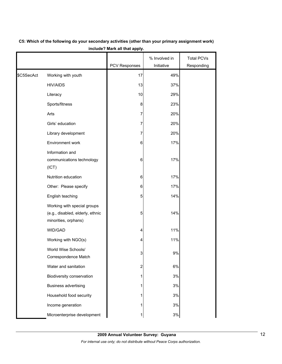|            |                                                                                         |                      | % Involved in | <b>Total PCVs</b> |
|------------|-----------------------------------------------------------------------------------------|----------------------|---------------|-------------------|
|            |                                                                                         | <b>PCV Responses</b> | Initiative    | Responding        |
| \$C5SecAct | Working with youth                                                                      | 17                   | 49%           |                   |
|            | <b>HIV/AIDS</b>                                                                         | 13                   | 37%           |                   |
|            | Literacy                                                                                | 10                   | 29%           |                   |
|            | Sports/fitness                                                                          | 8                    | 23%           |                   |
|            | Arts                                                                                    | 7                    | 20%           |                   |
|            | Girls' education                                                                        | 7                    | 20%           |                   |
|            | Library development                                                                     | 7                    | 20%           |                   |
|            | Environment work                                                                        | 6                    | 17%           |                   |
|            | Information and<br>communications technology<br>(ICT)                                   | 6                    | 17%           |                   |
|            | Nutrition education                                                                     | 6                    | 17%           |                   |
|            | Other: Please specify                                                                   | 6                    | 17%           |                   |
|            | English teaching                                                                        | 5                    | 14%           |                   |
|            | Working with special groups<br>(e.g., disabled, elderly, ethnic<br>minorities, orphans) | 5                    | 14%           |                   |
|            | WID/GAD                                                                                 | 4                    | 11%           |                   |
|            | Working with NGO(s)                                                                     | 4                    | 11%           |                   |
|            | World Wise Schools/<br>Correspondence Match                                             | 3                    | 9%            |                   |
|            | Water and sanitation                                                                    | 2                    | 6%            |                   |
|            | Biodiversity conservation                                                               | 1                    | 3%            |                   |
|            | <b>Business advertising</b>                                                             | 1                    | 3%            |                   |
|            | Household food security                                                                 | 1                    | 3%            |                   |
|            | Income generation                                                                       | 1                    | 3%            |                   |
|            | Microenterprise development                                                             | 1                    | $3%$          |                   |

## **C5: Which of the following do your secondary activities (other than your primary assignment work) include? Mark all that apply.**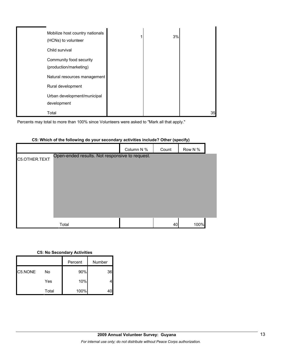| Mobilize host country nationals<br>(HCNs) to volunteer | 3% |    |
|--------------------------------------------------------|----|----|
| Child survival                                         |    |    |
| Community food security<br>(production/marketing)      |    |    |
| Natural resources management                           |    |    |
| Rural development                                      |    |    |
| Urban development/municipal<br>development             |    |    |
| Total                                                  |    | 35 |

Percents may total to more than 100% since Volunteers were asked to "Mark all that apply."

|               |                                                | Column N % | Count | Row N % |
|---------------|------------------------------------------------|------------|-------|---------|
| C5.OTHER.TEXT | Open-ended results. Not responsive to request. |            |       |         |
|               |                                                |            |       |         |
|               |                                                |            |       |         |
|               |                                                |            |       |         |
|               |                                                |            |       |         |
|               |                                                |            |       |         |
|               |                                                |            |       |         |
|               | Total                                          |            | 40    | 100%    |

### **C5: Which of the following do your secondary activities include? Other (specify)**

|  |  | <b>C5: No Secondary Activities</b> |  |
|--|--|------------------------------------|--|
|--|--|------------------------------------|--|

|         |       | Percent | Number |
|---------|-------|---------|--------|
| C5.NONE | No    | 90%     | 36     |
|         | Yes   | 10%     |        |
|         | Total | 100%    |        |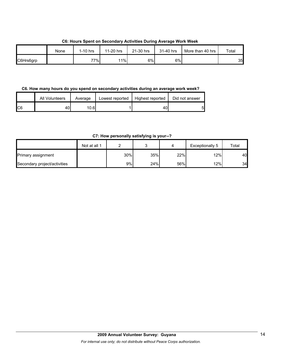**C6: Hours Spent on Secondary Activities During Average Work Week**

|           | None | $1-10$ hrs | 11-20 hrs | 21-30 hrs | 31-40 hrs | More than 40 hrs | Total |
|-----------|------|------------|-----------|-----------|-----------|------------------|-------|
| C6Hrs6grp |      | 77%        | 11%       | 6%        | 6%        |                  | 35    |

**C6. How many hours do you spend on secondary activities during an average work week?**

|     | All Volunteers | Average | Lowest reported | Highest reported | Did not answer |
|-----|----------------|---------|-----------------|------------------|----------------|
| IC6 | 40             | 10.61   |                 | 40               | 5              |

**C7: How personally satisfying is your--?**

|                              | Not at all 1 |     |     |     | Exceptionally 5 | Total |
|------------------------------|--------------|-----|-----|-----|-----------------|-------|
| Primary assignment           |              | 30% | 35% | 22% | 12%             | 40    |
| Secondary project/activities |              | 9%  | 24% | 56% | 12%             | 34    |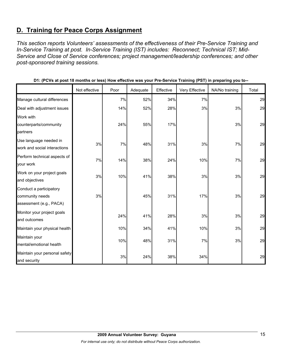# **D. Training for Peace Corps Assignment**

*This section reports Volunteers' assessments of the effectiveness of their Pre-Service Training and In-Service Training at post. In-Service Training (IST) includes: Reconnect; Technical IST; Mid-Service and Close of Service conferences; project management/leadership conferences; and other post-sponsored training sessions.* 

|                                                                       | Not effective | Poor | Adequate | Effective | Very Effective | NA/No training | Total |
|-----------------------------------------------------------------------|---------------|------|----------|-----------|----------------|----------------|-------|
| Manage cultural differences                                           |               | 7%   | 52%      | 34%       | 7%             |                | 29    |
| Deal with adjustment issues                                           |               | 14%  | 52%      | 28%       | 3%             | 3%             | 29    |
| Work with                                                             |               |      |          |           |                |                |       |
| counterparts/community                                                |               | 24%  | 55%      | 17%       |                | 3%             | 29    |
| partners                                                              |               |      |          |           |                |                |       |
| Use language needed in<br>work and social interactions                | 3%            | 7%   | 48%      | 31%       | 3%             | 7%             | 29    |
| Perform technical aspects of<br>your work                             | 7%            | 14%  | 38%      | 24%       | 10%            | 7%             | 29    |
| Work on your project goals<br>and objectives                          | 3%            | 10%  | 41%      | 38%       | 3%             | 3%             | 29    |
| Conduct a participatory<br>community needs<br>assessment (e.g., PACA) | 3%            |      | 45%      | 31%       | 17%            | 3%             | 29    |
| Monitor your project goals<br>and outcomes                            |               | 24%  | 41%      | 28%       | 3%             | 3%             | 29    |
| Maintain your physical health                                         |               | 10%  | 34%      | 41%       | 10%            | 3%             | 29    |
| Maintain your<br>mental/emotional health                              |               | 10%  | 48%      | 31%       | 7%             | 3%             | 29    |
| Maintain your personal safety<br>and security                         |               | 3%   | 24%      | 38%       | 34%            |                | 29    |

| D1: (PCVs at post 18 months or less) How effective was your Pre-Service Training (PST) in preparing you to-- |  |  |  |
|--------------------------------------------------------------------------------------------------------------|--|--|--|
|--------------------------------------------------------------------------------------------------------------|--|--|--|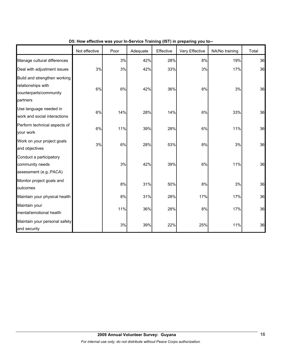|                                                                                          | Not effective | Poor | Adequate | Effective | Very Effective | NA/No training | Total |
|------------------------------------------------------------------------------------------|---------------|------|----------|-----------|----------------|----------------|-------|
| Manage cultural differences                                                              |               | 3%   | 42%      | 28%       | 8%             | 19%            | 36    |
| Deal with adjustment issues                                                              | 3%            | 3%   | 42%      | 33%       | 3%             | 17%            | 36    |
| Build and strengthen working<br>relationships with<br>counterparts/community<br>partners | 6%            | 6%   | 42%      | 36%       | 8%             | 3%             | 36    |
| Use language needed in<br>work and social interactions                                   | 6%            | 14%  | 28%      | 14%       | 6%             | 33%            | 36    |
| Perform technical aspects of<br>your work                                                | 6%            | 11%  | 39%      | 28%       | 6%             | 11%            | 36    |
| Work on your project goals<br>and objectives                                             | 3%            | 6%   | 28%      | 53%       | 8%             | 3%             | 36    |
| Conduct a participatory<br>community needs<br>assessment (e.g., PACA)                    |               | 3%   | 42%      | 39%       | 6%             | 11%            | 36    |
| Monitor project goals and<br>outcomes                                                    |               | 8%   | 31%      | 50%       | 8%             | 3%             | 36    |
| Maintain your physical health                                                            |               | 8%   | 31%      | 28%       | 17%            | 17%            | 36    |
| Maintain your<br>mental/emotional health                                                 |               | 11%  | 36%      | 28%       | 8%             | 17%            | 36    |
| Maintain your personal safety<br>and security                                            |               | 3%   | 39%      | 22%       | 25%            | 11%            | 36    |

## **D5: How effective was your In-Service Training (IST) in preparing you to--**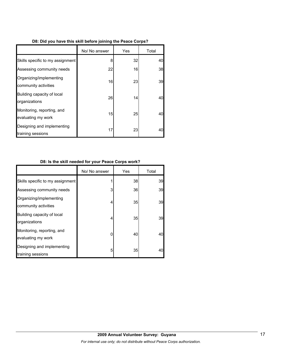|  | D8: Did you have this skill before joining the Peace Corps? |  |  |  |  |
|--|-------------------------------------------------------------|--|--|--|--|
|  |                                                             |  |  |  |  |

|                                                  | No/ No answer | Yes | Total |
|--------------------------------------------------|---------------|-----|-------|
| Skills specific to my assignment                 | 8             | 32  | 40    |
| Assessing community needs                        | 22            | 16  | 38    |
| Organizing/implementing<br>community activities  | 16            | 23  | 39    |
| Building capacity of local<br>organizations      | 26            | 14  | 40    |
| Monitoring, reporting, and<br>evaluating my work | 15            | 25  | 40    |
| Designing and implementing<br>training sessions  | 17            | 23  | 40    |

## **D8: Is the skill needed for your Peace Corps work?**

|                                                  | No/ No answer | Yes | Total |
|--------------------------------------------------|---------------|-----|-------|
| Skills specific to my assignment                 |               | 38  | 39    |
| Assessing community needs                        | 3             | 36  | 39    |
| Organizing/implementing<br>community activities  | 4             | 35  | 39    |
| Building capacity of local<br>organizations      | 4             | 35  | 39    |
| Monitoring, reporting, and<br>evaluating my work | 0             | 40  | 40    |
| Designing and implementing<br>training sessions  | 5             | 35  | 40    |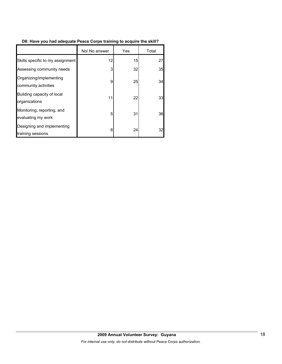## **D8: Have you had adequate Peace Corps training to acquire the skill?**

|                                                  | No/ No answer | Yes | Total |
|--------------------------------------------------|---------------|-----|-------|
| Skills specific to my assignment                 | 12            | 15  | 27    |
| Assessing community needs                        | 3             | 32  | 35    |
| Organizing/implementing<br>community activities  | 9             | 25  | 34    |
| Building capacity of local<br>organizations      | 11            | 22  | 33    |
| Monitoring, reporting, and<br>evaluating my work | 5             | 31  | 36    |
| Designing and implementing<br>training sessions  | 8             | 24  | 32    |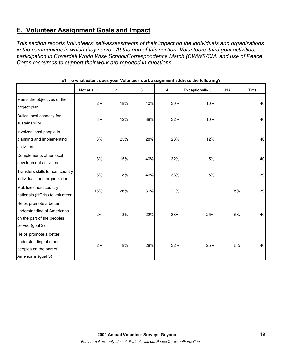# **E. Volunteer Assignment Goals and Impact**

*This section reports Volunteers' self-assessments of their impact on the individuals and organizations in the communities in which they serve. At the end of this section, Volunteers' third goal activities, participation in Coverdell World Wise School/Correspondence Match (CWWS/CM) and use of Peace Corps resources to support their work are reported in questions.* 

|                                                                                                       | Not at all 1 | $\overline{2}$ | 3   | 4   | Exceptionally 5 | <b>NA</b> | Total |
|-------------------------------------------------------------------------------------------------------|--------------|----------------|-----|-----|-----------------|-----------|-------|
| Meets the objectives of the<br>project plan                                                           | 2%           | 18%            | 40% | 30% | 10%             |           | 40    |
| Builds local capacity for<br>sustainability                                                           | 8%           | 12%            | 38% | 32% | 10%             |           | 40    |
| Involves local people in<br>planning and implementing<br>activities                                   | 8%           | 25%            | 28% | 28% | 12%             |           | 40    |
| Complements other local<br>development activities                                                     | 8%           | 15%            | 40% | 32% | 5%              |           | 40    |
| Transfers skills to host country<br>individuals and organizations                                     | 8%           | 8%             | 46% | 33% | 5%              |           | 39    |
| Mobilizes host country<br>nationals (HCNs) to volunteer                                               | 18%          | 26%            | 31% | 21% |                 | 5%        | 39    |
| Helps promote a better<br>understanding of Americans<br>on the part of the peoples<br>served (goal 2) | 2%           | 8%             | 22% | 38% | 25%             | $5%$      | 40    |
| Helps promote a better<br>understanding of other<br>peoples on the part of<br>Americans (goal 3)      | 2%           | 8%             | 28% | 32% | 25%             | $5\%$     | 40    |

**E1: To what extent does your Volunteer work assignment address the following?**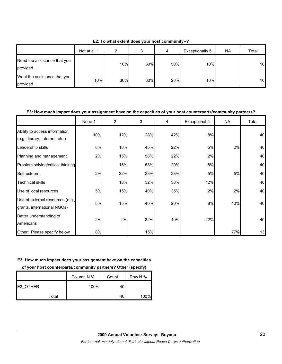|                                          | Not at all 1 | ົ   |     | 4   | Exceptionally 5 | <b>NA</b> | Total |
|------------------------------------------|--------------|-----|-----|-----|-----------------|-----------|-------|
| Need the assistance that you<br>provided |              | 10% | 30% | 50% | 10%             |           | 10    |
| Want the assistance that you<br>provided | 10%          | 30% | 30% | 20% | 10%             |           | 10    |

**E2: To what extent does your host community--?**

## **E3: How much impact does your assignment have on the capacities of your host counterparts/community partners?**

|                                                                  | None 1 | 2   | 3   | 4   | Exceptional 5 | <b>NA</b> | Total |
|------------------------------------------------------------------|--------|-----|-----|-----|---------------|-----------|-------|
| Ability to access information<br>(e.g., library, Internet, etc.) | 10%    | 12% | 28% | 42% | 8%            |           | 40    |
| Leadership skills                                                | 8%     | 18% | 45% | 22% | 5%            | 2%        | 40    |
| Planning and management                                          | 2%     | 15% | 58% | 22% | 2%            |           | 40    |
| Problem solving/critical thinking                                |        | 15% | 58% | 20% | 8%            |           | 40    |
| Self-esteem                                                      | 2%     | 22% | 38% | 28% | 5%            | 5%        | 40    |
| <b>Technical skills</b>                                          |        | 18% | 32% | 38% | 12%           |           | 40    |
| Use of local resources                                           | 5%     | 15% | 40% | 35% | 2%            | 2%        | 40    |
| Use of external resources (e.g.,<br>grants, international NGOs)  | 8%     | 15% | 40% | 20% | 8%            | 10%       | 40    |
| Better understanding of<br>Americans                             | 2%     | 2%  | 32% | 40% | 22%           |           | 40    |
| Other: Please specify below                                      | 8%     |     | 15% |     |               | 77%       | 13    |

#### **E3: How much impact does your assignment have on the capacities**

**of your host counterparts/community partners? Other (specify)**

|          | Column N % | Count | Row N % |
|----------|------------|-------|---------|
| E3 OTHER | 100%       | 40    |         |
| Total    |            | 40    | 100%    |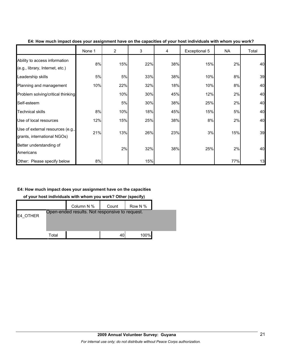|                                                                  | None 1 | $\overline{2}$ | 3   | 4   | Exceptional 5 | <b>NA</b> | Total |
|------------------------------------------------------------------|--------|----------------|-----|-----|---------------|-----------|-------|
| Ability to access information<br>(e.g., library, Internet, etc.) | 8%     | 15%            | 22% | 38% | 15%           | 2%        | 40    |
| Leadership skills                                                | 5%     | 5%             | 33% | 38% | 10%           | 8%        | 39    |
| Planning and management                                          | 10%    | 22%            | 32% | 18% | 10%           | 8%        | 40    |
| Problem solving/critical thinking                                |        | 10%            | 30% | 45% | 12%           | 2%        | 40    |
| Self-esteem                                                      |        | 5%             | 30% | 38% | 25%           | 2%        | 40    |
| <b>Technical skills</b>                                          | 8%     | 10%            | 18% | 45% | 15%           | 5%        | 40    |
| Use of local resources                                           | 12%    | 15%            | 25% | 38% | 8%            | 2%        | 40    |
| Use of external resources (e.g.,<br>grants, international NGOs)  | 21%    | 13%            | 26% | 23% | 3%            | 15%       | 39    |
| Better understanding of<br>Americans                             |        | 2%             | 32% | 38% | 25%           | 2%        | 40    |
| Other: Please specify below                                      | 8%     |                | 15% |     |               | 77%       | 13    |

#### **E4: How much impact does your assignment have on the capacities of your host individuals with whom you work?**

## **E4: How much impact does your assignment have on the capacities**

**of your host individuals with whom you work? Other (specify)**

|          |       | Column N %                                     | Count | Row N % |  |
|----------|-------|------------------------------------------------|-------|---------|--|
| E4 OTHER |       | Open-ended results. Not responsive to request. |       |         |  |
|          |       |                                                |       |         |  |
|          | Total |                                                | 40    | 100%    |  |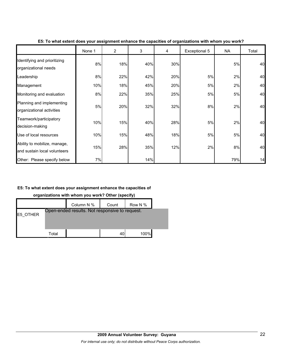|                                                              | None 1 | $\overline{2}$ | 3   | 4   | Exceptional 5 | <b>NA</b> | Total |
|--------------------------------------------------------------|--------|----------------|-----|-----|---------------|-----------|-------|
| Identifying and prioritizing<br>organizational needs         | 8%     | 18%            | 40% | 30% |               | $5%$      | 40    |
| Leadership                                                   | 8%     | 22%            | 42% | 20% | 5%            | 2%        | 40    |
| Management                                                   | 10%    | 18%            | 45% | 20% | 5%            | 2%        | 40    |
| Monitoring and evaluation                                    | 8%     | 22%            | 35% | 25% | 5%            | 5%        | 40    |
| Planning and implementing<br>organizational activities       | 5%     | 20%            | 32% | 32% | 8%            | 2%        | 40    |
| Teamwork/participatory<br>decision-making                    | 10%    | 15%            | 40% | 28% | 5%            | 2%        | 40    |
| Use of local resources                                       | 10%    | 15%            | 48% | 18% | 5%            | 5%        | 40    |
| Ability to mobilize, manage,<br>and sustain local volunteers | 15%    | 28%            | 35% | 12% | 2%            | 8%        | 40    |
| Other: Please specify below                                  | 7%     |                | 14% |     |               | 79%       | 14    |

**E5: To what extent does your assignment enhance the capacities of organizations with whom you work?**

## **E5: To what extent does your assignment enhance the capacities of**

**organizations with whom you work? Other (specify)**

|                 |       | Column N %                                     | Count | Row N % |  |
|-----------------|-------|------------------------------------------------|-------|---------|--|
| <b>E5 OTHER</b> |       | Open-ended results. Not responsive to request. |       |         |  |
|                 |       |                                                |       |         |  |
|                 | Total |                                                | 40    | 100%    |  |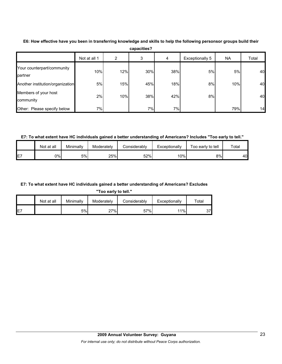|                                       | Not at all 1 | 2   | 3   | 4   | Exceptionally 5 | <b>NA</b> | Total |
|---------------------------------------|--------------|-----|-----|-----|-----------------|-----------|-------|
| Your counterpart/community<br>partner | 10%          | 12% | 30% | 38% | 5%              | 5%        | 40    |
| Another institution/organization      | 5%           | 15% | 45% | 18% | 8%              | 10%       | 40    |
| Members of your host<br>community     | 2%           | 10% | 38% | 42% | 8%              |           | 40    |
| Other: Please specify below           | 7%           |     | 7%  | 7%  |                 | 79%       | 14    |

**E6: How effective have you been in transferring knowledge and skills to help the following personsor groups build their capacities?**

**E7: To what extent have HC individuals gained a better understanding of Americans? Includes "Too early to tell."**

|    | Not at all | Minimallv | Moderatelv | <b>Considerably</b> | Exceptionally | Foo early to tell | $\tau$ otal |
|----|------------|-----------|------------|---------------------|---------------|-------------------|-------------|
| E7 | 0%l        | 5%        | 25%        | 52%                 | 10%           | 8%                | 40 <b>I</b> |

#### **E7: To what extent have HC individuals gained a better understanding of Americans? Excludes**

**"Too early to tell."**

|     | Not at all | Minimally | Moderately | Considerably | Exceptionally | $\tau$ otal |
|-----|------------|-----------|------------|--------------|---------------|-------------|
| IE7 |            | 5%l       | 27%        | 57%          | 11%           | ົ<br>، ت    |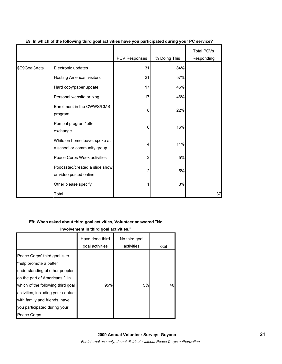|               |                                                              | PCV Responses | % Doing This | <b>Total PCVs</b><br>Responding |
|---------------|--------------------------------------------------------------|---------------|--------------|---------------------------------|
| \$E9Goal3Acts | Electronic updates                                           | 31            | 84%          |                                 |
|               | Hosting American visitors                                    | 21            | 57%          |                                 |
|               | Hard copy/paper update                                       | 17            | 46%          |                                 |
|               | Personal website or blog                                     | 17            | 46%          |                                 |
|               | Enrollment in the CWWS/CMS<br>program                        | 8             | 22%          |                                 |
|               | Pen pal program/letter<br>exchange                           | 6             | 16%          |                                 |
|               | While on home leave, spoke at<br>a school or community group | 4             | 11%          |                                 |
|               | Peace Corps Week activities                                  | 2             | 5%           |                                 |
|               | Podcasted/created a slide show<br>or video posted online     | 2             | 5%           |                                 |
|               | Other please specify                                         |               | 3%           |                                 |
|               | Total                                                        |               |              | 37                              |

## **E9. In which of the following third goal activities have you participated during your PC service?**

## **E9: When asked about third goal activities, Volunteer answered "No**

**involvement in third goal activities."** 

|                                                                                                                                                                                                                                                                                       | Have done third<br>goal activities | No third goal<br>activities | Total |
|---------------------------------------------------------------------------------------------------------------------------------------------------------------------------------------------------------------------------------------------------------------------------------------|------------------------------------|-----------------------------|-------|
| Peace Corps' third goal is to<br>"help promote a better<br>understanding of other peoples<br>on the part of Americans." In<br>which of the following third goal<br>activities, including your contact<br>with family and friends, have<br>you participated during your<br>Peace Corps | 95%                                | 5%                          | 40    |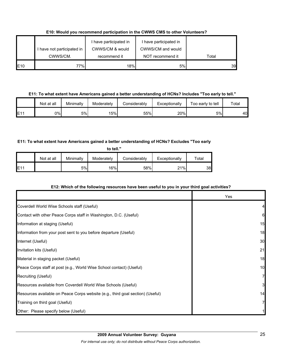**E10: Would you recommend participation in the CWWS CMS to other Volunteers?**

|     | I have not participated in | I have participated in<br>CWWS/CM & would | I have participated in<br>CWWS/CM and would |       |
|-----|----------------------------|-------------------------------------------|---------------------------------------------|-------|
|     | CWWS/CM.                   | recommend it                              | NOT recommend it                            | Total |
| E10 | 77%                        | 18%                                       | 5%                                          | 39    |

**E11: To what extent have Americans gained a better understanding of HCNs? Includes "Too early to tell."**

|     | Not at all | Minimally | Moderately | Considerablv | Exceptionally | Too early to tell | $\tau$ otal |
|-----|------------|-----------|------------|--------------|---------------|-------------------|-------------|
| E11 | 0%l        | 5%        | 15%        | 55%          | 20%           | 5%                | 40          |

## **E11: To what extent have Americans gained a better understanding of HCNs? Excludes "Too early**

**to tell."**

|                 | Not at all | Minimally | Moderately | Considerably | Exceptionally | $\tau$ otal |
|-----------------|------------|-----------|------------|--------------|---------------|-------------|
| E1 <sup>4</sup> |            | 5%        | 16%        | 58%          | 21%           | 38l         |

## **E12: Which of the following resources have been useful to you in your third goal activities?**

|                                                                                | Yes |
|--------------------------------------------------------------------------------|-----|
| Coverdell World Wise Schools staff (Useful)                                    |     |
| Contact with other Peace Corps staff in Washington, D.C. (Useful)              | 6   |
| Information at staging (Useful)                                                | 15  |
| Information from your post sent to you before departure (Useful)               | 18  |
| Internet (Useful)                                                              | 30  |
| Invitation kits (Useful)                                                       | 21  |
| Material in staging packet (Useful)                                            | 18  |
| Peace Corps staff at post (e.g., World Wise School contact) (Useful)           | 10  |
| Recruiting (Useful)                                                            |     |
| Resources available from Coverdell World Wise Schools (Useful)                 | 31  |
| Resources available on Peace Corps website (e.g., third goal section) (Useful) | 14  |
| Training on third goal (Useful)                                                |     |
| Other: Please specify below (Useful)                                           |     |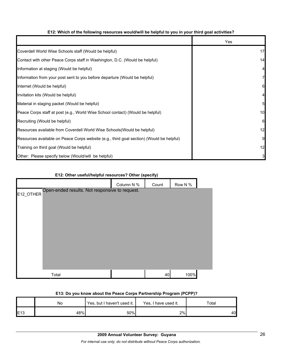### **E12: Which of the following resources would/will be helpful to you in your third goal activities?**

|                                                                                          | Yes             |
|------------------------------------------------------------------------------------------|-----------------|
| Coverdell World Wise Schools staff (Would be helpful)                                    | 17              |
| Contact with other Peace Corps staff in Washington, D.C. (Would be helpful)              | 14              |
| Information at staging (Would be helpful)                                                | $\overline{a}$  |
| Information from your post sent to you before departure (Would be helpful)               | 7               |
| Internet (Would be helpful)                                                              | 6               |
| Invitation kits (Would be helpful)                                                       | 4               |
| Material in staging packet (Would be helpful)                                            | $5\overline{a}$ |
| Peace Corps staff at post (e.g., World Wise School contact) (Would be helpful)           | 10              |
| Recruiting (Would be helpful)                                                            | 6               |
| Resources available from Coverdell World Wise Schools (Would be helpful)                 | 12              |
| Resources available on Peace Corps website (e.g., third goal section) (Would be helpful) | 9               |
| Training on third goal (Would be helpful)                                                | 12              |
| Other: Please specify below (Would/will be helpful)                                      | $\mathbf{3}$    |

## **E12: Other useful/helpful resources? Other (specify)**

|           |                                                | Column N % | Count | Row N % |  |
|-----------|------------------------------------------------|------------|-------|---------|--|
| E12_OTHER | Open-ended results. Not responsive to request. |            |       |         |  |
|           |                                                |            |       |         |  |
|           |                                                |            |       |         |  |
|           |                                                |            |       |         |  |
|           |                                                |            |       |         |  |
|           |                                                |            |       |         |  |
|           |                                                |            |       |         |  |
|           |                                                |            |       |         |  |
|           |                                                |            |       |         |  |
|           | Total                                          |            | 40    | 100%    |  |

## **E13: Do you know about the Peace Corps Partnership Program (PCPP)?**

|     | No  | Yes, but I haven't used it. | Yes, I have used it. | Total |
|-----|-----|-----------------------------|----------------------|-------|
| E13 | 48% | 50%                         | 2%                   | 40    |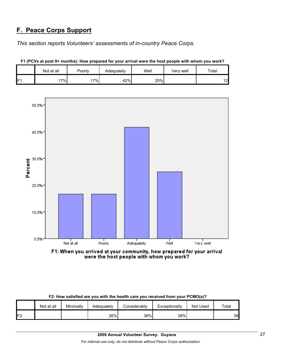## **F. Peace Corps Support**

*This section reports Volunteers' assessments of in-country Peace Corps.* 

|   | Not at all | Poorly | Adequately | Well | Verv well | Total         |
|---|------------|--------|------------|------|-----------|---------------|
| E | 17%        | 7%     | 42%        | 25%  |           | $\sim$<br>ے ، |

**F1 (PCVs at post 9+ months): How prepared for your arrival were the host people with whom you work?**



F1: When you arrived at your community, how prepared for your arrival were the host people with whom you work?

|                 | Not at all | Minimally | Adeauatelv | Considerablv | Exceptionally | Not Used | Total |
|-----------------|------------|-----------|------------|--------------|---------------|----------|-------|
| IF <sub>2</sub> |            |           | 26%        | 36%          | 38%           |          | 39    |

#### **F2: How satisfied are you with the health care you received from your PCMO(s)?**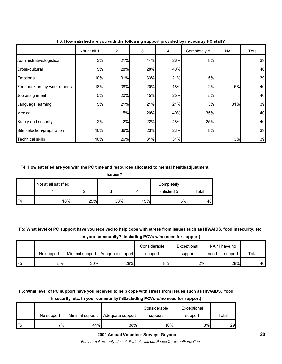|                             | Not at all 1 | $\overline{c}$ | 3   | 4   | Completely 5 | <b>NA</b> | Total |
|-----------------------------|--------------|----------------|-----|-----|--------------|-----------|-------|
| Administrative/logistical   | 3%           | 21%            | 44% | 26% | 8%           |           | 39    |
| Cross-cultural              | 5%           | 28%            | 28% | 40% |              |           | 40    |
| Emotional                   | 10%          | 31%            | 33% | 21% | 5%           |           | 39    |
| Feedback on my work reports | 18%          | 38%            | 20% | 18% | 2%           | 5%        | 40    |
| Job assignment              | 5%           | 20%            | 45% | 25% | 5%           |           | 40    |
| Language learning           | 5%           | 21%            | 21% | 21% | 3%           | 31%       | 39    |
| Medical                     |              | 5%             | 20% | 40% | 35%          |           | 40    |
| Safety and security         | 2%           | 2%             | 22% | 48% | 25%          |           | 40    |
| Site selection/preparation  | 10%          | 36%            | 23% | 23% | 8%           |           | 39    |
| <b>Technical skills</b>     | 10%          | 26%            | 31% | 31% |              | 3%        | 39    |

**F3: How satisfied are you with the following support provided by in-country PC staff?**

#### **F4: How satisfied are you with the PC time and resources allocated to mental health/adjustment**

|     | Not at all satisfied |     |     |     | Completely  |             |
|-----|----------------------|-----|-----|-----|-------------|-------------|
|     |                      |     | ັ   |     | satisfied 5 | $\tau$ otal |
| IF4 | 18%                  | 25% | 38% | 15% | 5%          | 40          |

**F5: What level of PC support have you received to help cope with stress from issues such as HIV/AIDS, food insecurity, etc.** 

|  | in your community? (Including PCVs w/no need for support) |  |
|--|-----------------------------------------------------------|--|
|--|-----------------------------------------------------------|--|

|                |            |                 |                  | Considerable | Exceptional | NA/I have no     |       |
|----------------|------------|-----------------|------------------|--------------|-------------|------------------|-------|
|                | No support | Minimal support | Adequate support | support      | support     | need for support | Total |
| F <sub>5</sub> | 5%l        | 30%             | 28%              | 8%           | 2%          | 28%              | 40    |

## **F5: What level of PC support have you received to help cope with stress from issues such as HIV/AIDS, food insecurity, etc. in your community? (Excluding PCVs w/no need for support)**

|                 | No support | Minimal support | Adequate support | Considerable<br>support | Exceptional<br>support | Total |
|-----------------|------------|-----------------|------------------|-------------------------|------------------------|-------|
| IF <sub>5</sub> | 7%∣        | 41%             | 38%              | 10%                     | 3%                     | 29    |

#### **2009 Annual Volunteer Survey: Guyana**

*For internal use only; do not distribute without Peace Corps authorization.*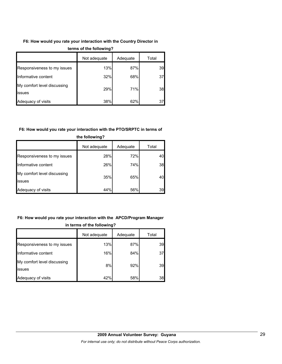## **F6: How would you rate your interaction with the Country Director in**

|                                       | Not adequate | Adequate | Total |
|---------------------------------------|--------------|----------|-------|
| Responsiveness to my issues           | 13%          | 87%      | 39    |
| Informative content                   | 32%          | 68%      | 37    |
| My comfort level discussing<br>issues | 29%          | 71%      | 38    |
| Adequacy of visits                    | 38%          | 62%      | 37    |

#### **terms of the following?**

## **F6: How would you rate your interaction with the PTO/SRPTC in terms of**

|                                       | Not adequate | Adequate | Total |  |  |
|---------------------------------------|--------------|----------|-------|--|--|
| Responsiveness to my issues           | 28%          | 72%      | 40    |  |  |
| Informative content                   | 26%          | 74%      | 38    |  |  |
| My comfort level discussing<br>issues | 35%          | 65%      | 40    |  |  |
| Adequacy of visits                    | 44%          | 56%      | 39    |  |  |

## **the following?**

## **F6: How would you rate your interaction with the APCD/Program Manager in terms of the following?**

|                                       | Not adequate | Adequate | Total |
|---------------------------------------|--------------|----------|-------|
| Responsiveness to my issues           | 13%          | 87%      | 39    |
| Informative content                   | 16%          | 84%      | 37    |
| My comfort level discussing<br>issues | 8%           | 92%      | 39    |
| Adequacy of visits                    | 42%          | 58%      | 38    |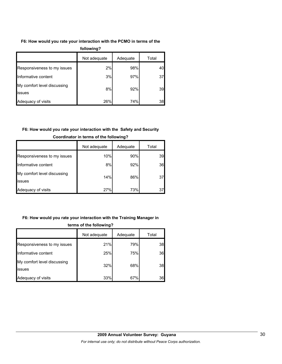## **F6: How would you rate your interaction with the PCMO in terms of the**

| following?                            |              |          |       |  |  |  |
|---------------------------------------|--------------|----------|-------|--|--|--|
|                                       | Not adequate | Adequate | Total |  |  |  |
| Responsiveness to my issues           | 2%           | 98%      | 40    |  |  |  |
| Informative content                   | 3%           | 97%      | 37    |  |  |  |
| My comfort level discussing<br>issues | 8%           | 92%      | 39    |  |  |  |
| Adequacy of visits                    | 26%          | 74%      | 38    |  |  |  |

## **F6: How would you rate your interaction with the Safety and Security**

|                                               | Not adequate | Adequate | Total |
|-----------------------------------------------|--------------|----------|-------|
| Responsiveness to my issues                   | 10%          | 90%      | 39    |
| Informative content                           | 8%           | 92%      | 36    |
| My comfort level discussing<br><b>lissues</b> | 14%          | 86%      | 37    |
| Adequacy of visits                            | 27%          | 73%      | 37    |

## **Coordinator in terms of the following?**

## **F6: How would you rate your interaction with the Training Manager in**

| terms of the following?               |              |          |       |  |  |
|---------------------------------------|--------------|----------|-------|--|--|
|                                       | Not adequate | Adequate | Total |  |  |
| Responsiveness to my issues           | 21%          | 79%      | 38    |  |  |
| Informative content                   | 25%          | 75%      | 36    |  |  |
| My comfort level discussing<br>issues | 32%          | 68%      | 38    |  |  |
| Adequacy of visits                    | 33%          | 67%      | 36    |  |  |

## **2009 Annual Volunteer Survey: Guyana**  *For internal use only; do not distribute without Peace Corps authorization.*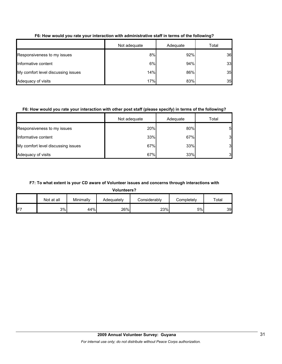|                                    | Not adequate | Adequate | Total |
|------------------------------------|--------------|----------|-------|
| Responsiveness to my issues        | 8%           | 92%      | 36    |
| Informative content                | 6%           | 94%      | 33    |
| My comfort level discussing issues | 14%          | 86%      | 35    |
| Adequacy of visits                 | 17%          | 83%      | 35    |

## **F6: How would you rate your interaction with administrative staff in terms of the following?**

## **F6: How would you rate your interaction with other post staff (please specify) in terms of the following?**

|                                    | Not adequate | Adequate | Total            |
|------------------------------------|--------------|----------|------------------|
| Responsiveness to my issues        | 20%          | 80%      | $5 \blacksquare$ |
| Informative content                | 33%          | 67%      | 3                |
| My comfort level discussing issues | 67%          | 33%      | 3                |
| Adequacy of visits                 | 67%          | 33%      | 3                |

## **F7: To what extent is your CD aware of Volunteer issues and concerns through interactions with**

**Volunteers?**

|     | Not at all | Minimally | Adequately | Considerablv | Completely | Total |
|-----|------------|-----------|------------|--------------|------------|-------|
| IF7 | 3%         | 44%       | 26%        | 23%          | 5%         | 39    |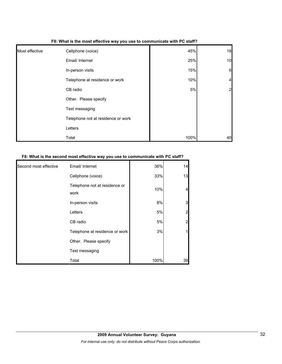| Most effective | Cellphone (voice)                  | 45%  | 18             |
|----------------|------------------------------------|------|----------------|
|                | Email/ Internet                    | 25%  | 10             |
|                | In-person visits                   | 15%  | 6              |
|                | Telephone at residence or work     | 10%  | 4              |
|                | CB radio                           | 5%   | $\overline{a}$ |
|                | Other. Please specify              |      |                |
|                | Text messaging                     |      |                |
|                | Telephone not at residence or work |      |                |
|                | Letters                            |      |                |
|                | Total                              | 100% | 40             |

#### **F8: What is the most effective way you use to communicate with PC staff?**

### **F8: What is the second most effective way you use to communicate with PC staff?**

| Second most effective | Email/ Internet                       | 36%  | 14 |
|-----------------------|---------------------------------------|------|----|
|                       | Cellphone (voice)                     | 33%  | 13 |
|                       | Telephone not at residence or<br>work | 10%  |    |
|                       | In-person visits                      | 8%   | 3  |
|                       | Letters                               | 5%   | 2  |
|                       | CB radio                              | 5%   | 2  |
|                       | Telephone at residence or work        | 3%   |    |
|                       | Other. Please specify                 |      |    |
|                       | Text messaging                        |      |    |
|                       | Total                                 | 100% | 39 |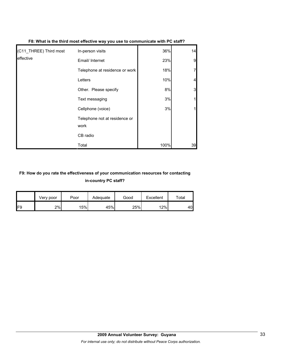| (C11_THREE) Third most | In-person visits                      | 36%  | 14 |
|------------------------|---------------------------------------|------|----|
| leffective             | Email/ Internet                       | 23%  | 9  |
|                        | Telephone at residence or work        | 18%  |    |
|                        | Letters                               | 10%  |    |
|                        | Other. Please specify                 | 8%   | 3  |
|                        | Text messaging                        | 3%   |    |
|                        | Cellphone (voice)                     | 3%   |    |
|                        | Telephone not at residence or<br>work |      |    |
|                        | CB radio                              |      |    |
|                        | Total                                 | 100% | 39 |

**F8: What is the third most effective way you use to communicate with PC staff?**

## **F9: How do you rate the effectiveness of your communication resources for contacting in-country PC staff?**

|                 | Very poor | Poor | Adequate | Good | Excellent | Total |
|-----------------|-----------|------|----------|------|-----------|-------|
| IF <sub>9</sub> | 2%        | 15%  | 45%      | 25%  | 12%       | 40    |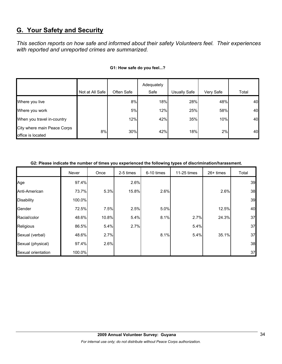# **G. Your Safety and Security**

*This section reports on how safe and informed about their safety Volunteers feel. Their experiences with reported and unreported crimes are summarized.* 

|                             |                 |            | Adequately |              |           |       |
|-----------------------------|-----------------|------------|------------|--------------|-----------|-------|
|                             | Not at All Safe | Often Safe | Safe       | Usually Safe | Very Safe | Total |
| Where you live              |                 | 8%         | 18%        | 28%          | 48%       | 40    |
| Where you work              |                 | 5%         | 12%        | 25%          | 58%       | 40    |
| When you travel in-country  |                 | 12%        | 42%        | 35%          | 10%       | 40    |
| City where main Peace Corps | 8%              | 30%        | 42%        | 18%          | 2%        | 40    |
| office is located           |                 |            |            |              |           |       |

### **G1: How safe do you feel...?**

### **G2: Please indicate the number of times you experienced the following types of discrimination/harassment.**

|                    | Never  | Once  | 2-5 times | 6-10 times | 11-25 times | $26+$ times | Total |
|--------------------|--------|-------|-----------|------------|-------------|-------------|-------|
| Age                | 97.4%  |       | 2.6%      |            |             |             | 39    |
| Anti-American      | 73.7%  | 5.3%  | 15.8%     | 2.6%       |             | 2.6%        | 38    |
| <b>Disability</b>  | 100.0% |       |           |            |             |             | 39    |
| Gender             | 72.5%  | 7.5%  | 2.5%      | 5.0%       |             | 12.5%       | 40    |
| Racial/color       | 48.6%  | 10.8% | 5.4%      | 8.1%       | 2.7%        | 24.3%       | 37    |
| Religious          | 86.5%  | 5.4%  | 2.7%      |            | 5.4%        |             | 37    |
| Sexual (verbal)    | 48.6%  | 2.7%  |           | 8.1%       | 5.4%        | 35.1%       | 37    |
| Sexual (physical)  | 97.4%  | 2.6%  |           |            |             |             | 38    |
| Sexual orientation | 100.0% |       |           |            |             |             | 37    |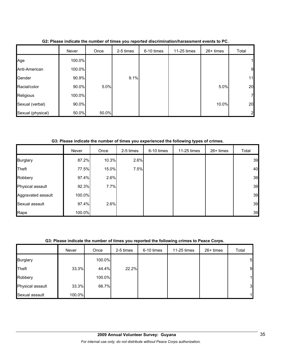|                   | Never  | Once  | 2-5 times | 6-10 times | 11-25 times | 26+ times | Total          |
|-------------------|--------|-------|-----------|------------|-------------|-----------|----------------|
| Age               | 100.0% |       |           |            |             |           | 11             |
| Anti-American     | 100.0% |       |           |            |             |           | $\overline{9}$ |
| Gender            | 90.9%  |       | 9.1%      |            |             |           | 11             |
| Racial/color      | 90.0%  | 5.0%  |           |            |             | 5.0%      | 20             |
| Religious         | 100.0% |       |           |            |             |           | $\mathbf{z}$   |
| Sexual (verbal)   | 90.0%  |       |           |            |             | 10.0%     | 20             |
| Sexual (physical) | 50.0%  | 50.0% |           |            |             |           | $\overline{2}$ |

**G2: Please indicate the number of times you reported discrimination/harassment events to PC.**

**G3: Please indicate the number of times you experienced the following types of crimes.**

|                    | Never  | Once  | 2-5 times | 6-10 times | 11-25 times | 26+ times | Total |
|--------------------|--------|-------|-----------|------------|-------------|-----------|-------|
| <b>Burglary</b>    | 87.2%  | 10.3% | 2.6%      |            |             |           | 39    |
| Theft              | 77.5%  | 15.0% | 7.5%      |            |             |           | 40    |
| Robbery            | 97.4%  | 2.6%  |           |            |             |           | 39    |
| Physical assault   | 92.3%  | 7.7%  |           |            |             |           | 39    |
| Aggravated assault | 100.0% |       |           |            |             |           | 39    |
| Sexual assault     | 97.4%  | 2.6%  |           |            |             |           | 39    |
| Rape               | 100.0% |       |           |            |             |           | 39    |

## **G3: Please indicate the number of times you reported the following crimes to Peace Corps.**

|                  | Never  | Once   | 2-5 times | 6-10 times | 11-25 times | 26+ times | Total        |
|------------------|--------|--------|-----------|------------|-------------|-----------|--------------|
| <b>Burglary</b>  |        | 100.0% |           |            |             |           | 5            |
| <b>Theft</b>     | 33.3%  | 44.4%  | 22.2%     |            |             |           | 9            |
| Robbery          |        | 100.0% |           |            |             |           | $\mathbf{1}$ |
| Physical assault | 33.3%  | 66.7%  |           |            |             |           | 3            |
| Sexual assault   | 100.0% |        |           |            |             |           | $\mathbf{1}$ |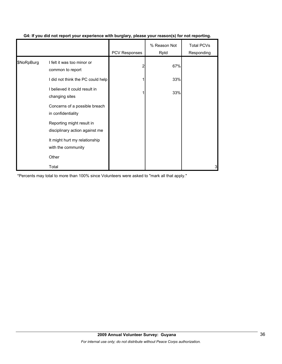|            |                                                             | <b>PCV Responses</b> | % Reason Not<br>Rptd | <b>Total PCVs</b><br>Responding |
|------------|-------------------------------------------------------------|----------------------|----------------------|---------------------------------|
| \$NoRpBurg | I felt it was too minor or<br>common to report              | 2                    | 67%                  |                                 |
|            | I did not think the PC could help                           |                      | 33%                  |                                 |
|            | I believed it could result in<br>changing sites             |                      | 33%                  |                                 |
|            | Concerns of a possible breach<br>in confidentiality         |                      |                      |                                 |
|            | Reporting might result in<br>disciplinary action against me |                      |                      |                                 |
|            | It might hurt my relationship<br>with the community         |                      |                      |                                 |
|            | Other                                                       |                      |                      |                                 |
|            | Total                                                       |                      |                      | 3                               |

## **G4: If you did not report your experience with burglary, please your reason(s) for not reporting.**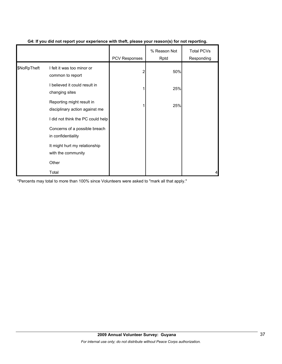|             |                                                                                          | PCV Responses | % Reason Not<br>Rptd | <b>Total PCVs</b><br>Responding |
|-------------|------------------------------------------------------------------------------------------|---------------|----------------------|---------------------------------|
| \$NoRpTheft | I felt it was too minor or<br>common to report                                           |               | 50%                  |                                 |
|             | I believed it could result in<br>changing sites                                          |               | 25%                  |                                 |
|             | Reporting might result in<br>disciplinary action against me                              |               | 25%                  |                                 |
|             | I did not think the PC could help<br>Concerns of a possible breach<br>in confidentiality |               |                      |                                 |
|             | It might hurt my relationship<br>with the community                                      |               |                      |                                 |
|             | Other                                                                                    |               |                      |                                 |
|             | Total                                                                                    |               |                      |                                 |

## **G4: If you did not report your experience with theft, please your reason(s) for not reporting.**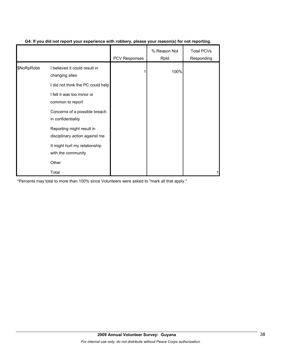|            |                                                             | <b>PCV Responses</b> | % Reason Not<br>Rptd | <b>Total PCVs</b><br>Responding |
|------------|-------------------------------------------------------------|----------------------|----------------------|---------------------------------|
| \$NoRpRobb | I believed it could result in<br>changing sites             |                      | 100%                 |                                 |
|            | I did not think the PC could help                           |                      |                      |                                 |
|            | I felt it was too minor or<br>common to report              |                      |                      |                                 |
|            | Concerns of a possible breach<br>in confidentiality         |                      |                      |                                 |
|            | Reporting might result in<br>disciplinary action against me |                      |                      |                                 |
|            | It might hurt my relationship<br>with the community         |                      |                      |                                 |
|            | Other                                                       |                      |                      |                                 |
|            | Total                                                       |                      |                      |                                 |

## **G4: If you did not report your experience with robbery, please your reason(s) for not reporting.**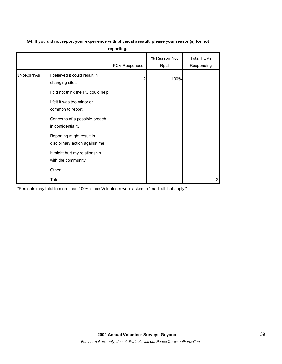| G4: If you did not report your experience with physical assault, please your reason(s) for not |  |
|------------------------------------------------------------------------------------------------|--|
|                                                                                                |  |

**reporting.**

|            |                                                             | PCV Responses | % Reason Not<br>Rptd | <b>Total PCVs</b><br>Responding |
|------------|-------------------------------------------------------------|---------------|----------------------|---------------------------------|
| \$NoRpPhAs | I believed it could result in<br>changing sites             | 2             | 100%                 |                                 |
|            | I did not think the PC could help                           |               |                      |                                 |
|            | I felt it was too minor or<br>common to report              |               |                      |                                 |
|            | Concerns of a possible breach<br>in confidentiality         |               |                      |                                 |
|            | Reporting might result in<br>disciplinary action against me |               |                      |                                 |
|            | It might hurt my relationship<br>with the community         |               |                      |                                 |
|            | Other                                                       |               |                      |                                 |
|            | Total                                                       |               |                      | 2                               |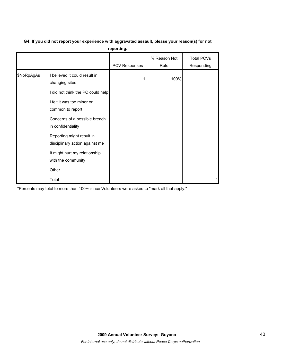| G4: If you did not report your experience with aggravated assault, please your reason(s) for not |
|--------------------------------------------------------------------------------------------------|
| reporting.                                                                                       |

| 10portung. |                                                             |                      |                      |                                 |  |  |
|------------|-------------------------------------------------------------|----------------------|----------------------|---------------------------------|--|--|
|            |                                                             | <b>PCV Responses</b> | % Reason Not<br>Rptd | <b>Total PCVs</b><br>Responding |  |  |
| \$NoRpAgAs | I believed it could result in<br>changing sites             |                      | 100%                 |                                 |  |  |
|            | I did not think the PC could help                           |                      |                      |                                 |  |  |
|            | I felt it was too minor or<br>common to report              |                      |                      |                                 |  |  |
|            | Concerns of a possible breach<br>in confidentiality         |                      |                      |                                 |  |  |
|            | Reporting might result in<br>disciplinary action against me |                      |                      |                                 |  |  |
|            | It might hurt my relationship<br>with the community         |                      |                      |                                 |  |  |
|            | Other                                                       |                      |                      |                                 |  |  |
|            | Total                                                       |                      |                      |                                 |  |  |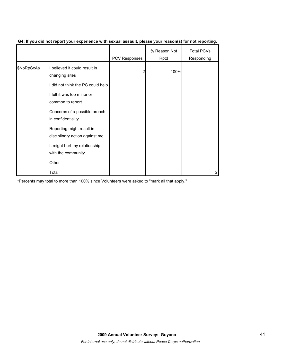|            |                                                             | PCV Responses | % Reason Not<br>Rptd | <b>Total PCVs</b><br>Responding |
|------------|-------------------------------------------------------------|---------------|----------------------|---------------------------------|
| \$NoRpSxAs | I believed it could result in<br>changing sites             |               | 100%                 |                                 |
|            | I did not think the PC could help                           |               |                      |                                 |
|            | I felt it was too minor or<br>common to report              |               |                      |                                 |
|            | Concerns of a possible breach<br>in confidentiality         |               |                      |                                 |
|            | Reporting might result in<br>disciplinary action against me |               |                      |                                 |
|            | It might hurt my relationship<br>with the community         |               |                      |                                 |
|            | Other                                                       |               |                      |                                 |
|            | Total                                                       |               |                      |                                 |

## **G4: If you did not report your experience with sexual assault, please your reason(s) for not reporting.**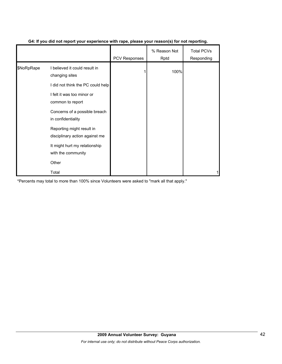|            |                                                             | <b>PCV Responses</b> | % Reason Not<br>Rptd | <b>Total PCVs</b><br>Responding |
|------------|-------------------------------------------------------------|----------------------|----------------------|---------------------------------|
| \$NoRpRape | I believed it could result in<br>changing sites             |                      | 100%                 |                                 |
|            | I did not think the PC could help                           |                      |                      |                                 |
|            | I felt it was too minor or<br>common to report              |                      |                      |                                 |
|            | Concerns of a possible breach<br>in confidentiality         |                      |                      |                                 |
|            | Reporting might result in<br>disciplinary action against me |                      |                      |                                 |
|            | It might hurt my relationship<br>with the community         |                      |                      |                                 |
|            | Other                                                       |                      |                      |                                 |
|            | Total                                                       |                      |                      |                                 |

## **G4: If you did not report your experience with rape, please your reason(s) for not reporting.**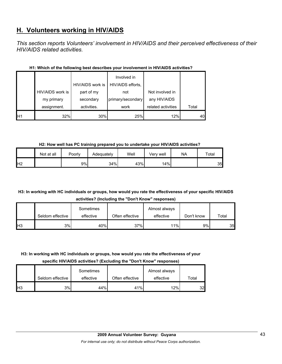# **H. Volunteers working in HIV/AIDS**

*This section reports Volunteers' involvement in HIV/AIDS and their perceived effectiveness of their HIV/AIDS related activities.* 

|                |                  | HIV/AIDS work is | Involved in<br>HIV/AIDS efforts, |                    |       |
|----------------|------------------|------------------|----------------------------------|--------------------|-------|
|                | HIV/AIDS work is | part of my       | not                              | Not involved in    |       |
|                | my primary       | secondary        | primary/secondary                | any HIV/AIDS       |       |
|                | assignment.      | activities.      | work                             | related activities | Total |
| H <sub>1</sub> | 32%              | 30%              | 25%                              | 12%                | 40    |

## **H1: Which of the following best describes your involvement in HIV/AIDS activities?**

**H2: How well has PC training prepared you to undertake your HIV/AIDS activities?**

|                | Not at all | Poorly | Adequately | Well | √erv well | NA | Total |
|----------------|------------|--------|------------|------|-----------|----|-------|
| H <sub>2</sub> |            | 9%     | 34%        | 43%  | 14%       |    | 35    |

## **H3: In working with HC individuals or groups, how would you rate the effectiveness of your specific HIV/AIDS activities? (Including the "Don't Know" responses)**

|            |                  | Sometimes |                 | Almost always |            |       |
|------------|------------------|-----------|-----------------|---------------|------------|-------|
|            | Seldom effective | effective | Often effective | effective     | Don't know | Total |
| <b>H</b> 3 | 3%               | 40%       | 37%             | 11%           | 9%         | 35    |

## **H3: In working with HC individuals or groups, how would you rate the effectiveness of your**

**specific HIV/AIDS activities? (Excluding the "Don't Know" responses)**

|                 |                  | Sometimes |                 | Almost always |                 |
|-----------------|------------------|-----------|-----------------|---------------|-----------------|
|                 | Seldom effective | effective | Often effective | effective     | Total           |
| IH <sub>3</sub> | 3%               | 44%       | 41%             | 12%           | 32 <sub>l</sub> |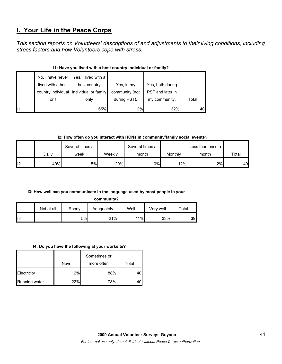## **I. Your Life in the Peace Corps**

*This section reports on Volunteers' descriptions of and adjustments to their living conditions, including stress factors and how Volunteers cope with stress.* 

|    | No, I have never  | Yes, I lived with a                     |                |                  |       |  |  |  |
|----|-------------------|-----------------------------------------|----------------|------------------|-------|--|--|--|
|    | lived with a host | host country                            | Yes, in my     | Yes, both during |       |  |  |  |
|    |                   | country individual individual or family | community (not | PST and later in |       |  |  |  |
|    | or f              | only                                    | during PST).   | my community.    | Total |  |  |  |
| 11 |                   | 65%                                     | 2%             | 32%              | 40    |  |  |  |

## **I1: Have you lived with a host country individual or family?**

**I2: How often do you interact with HCNs in community/family social events?**

|     |       | Several times a |        | Several times a |         | Less than once a |       |
|-----|-------|-----------------|--------|-----------------|---------|------------------|-------|
|     | Dailv | week            | Weekly | month           | Monthly | month            | Total |
| ll2 | 40%   | 15%             | 20%    | 10%             | 12%     | 2%               | 40    |

## **I3: How well can you communicate in the language used by most people in your**

**community?**

|     | Not at all | Poorly | Adequately | Well | Verv well | $\tau$ otal |
|-----|------------|--------|------------|------|-----------|-------------|
| ll3 |            | 5%     | 21%        | 41%  | 33%       | 39          |

#### **I4: Do you have the following at your worksite?**

|                      | Never | Sometimes or<br>more often | Total |
|----------------------|-------|----------------------------|-------|
| Electricity          | 12%   | 88%                        |       |
| <b>Running water</b> | 22%   | 78%                        |       |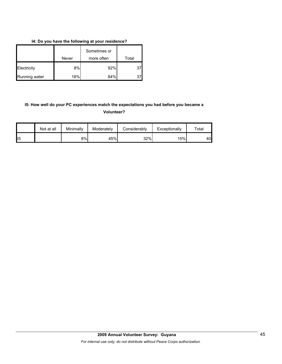## **I4: Do you have the following at your residence?**

|               |       | Sometimes or |       |
|---------------|-------|--------------|-------|
|               | Never | more often   | Total |
| Electricity   | 8%    | 92%          | 37    |
| Running water | 16%   | 84%          |       |

## **I5: How well do your PC experiences match the expectations you had before you became a Volunteer?**

|                 | Not at all | Minimally | Moderately | Considerably | Exceptionally | $\tau$ otal |
|-----------------|------------|-----------|------------|--------------|---------------|-------------|
| II <sub>5</sub> |            | 8%        | 45%        | 32%          | 15%           | 40          |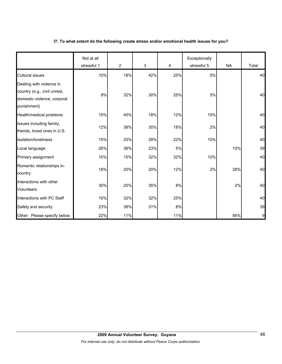### **I7: To what extent do the following create stress and/or emotional health issues for you?**

|                                                                                                        | Not at all<br>stressful 1 | $\overline{2}$ | 3   | 4     | Exceptionally<br>stressful 5 | <b>NA</b> | Total |
|--------------------------------------------------------------------------------------------------------|---------------------------|----------------|-----|-------|------------------------------|-----------|-------|
| <b>Cultural issues</b>                                                                                 | 10%                       | 18%            | 42% | 25%   | 5%                           |           | 40    |
| Dealing with violence in<br>country (e.g., civil unrest,<br>domestic violence, corporal<br>punishment) | 8%                        | 32%            | 30% | 25%   | 5%                           |           | 40    |
| Health/medical problems                                                                                | 15%                       | 40%            | 18% | 12%   | 15%                          |           | 40    |
| Issues including family,<br>friends, loved ones in U.S.                                                | 12%                       | 38%            | 30% | 18%   | 2%                           |           | 40    |
| Isolation/loneliness                                                                                   | 15%                       | 25%            | 28% | 22%   | 10%                          |           | 40    |
| Local language                                                                                         | 26%                       | 36%            | 23% | 5%    |                              | 10%       | 39    |
| Primary assignment                                                                                     | 10%                       | 15%            | 32% | 32%   | 10%                          |           | 40    |
| Romantic relationships in-<br>country                                                                  | 18%                       | 20%            | 20% | 12%   | 2%                           | 28%       | 40    |
| Interactions with other<br><b>Volunteers</b>                                                           | 30%                       | 25%            | 35% | 8%    |                              | 2%        | 40    |
| Interactions with PC Staff                                                                             | 10%                       | 32%            | 32% | 25%   |                              |           | 40    |
| Safety and security                                                                                    | 23%                       | 38%            | 31% | $8\%$ |                              |           | 39    |
| Other: Please specify below                                                                            | 22%                       | 11%            |     | 11%   |                              | 56%       | 9     |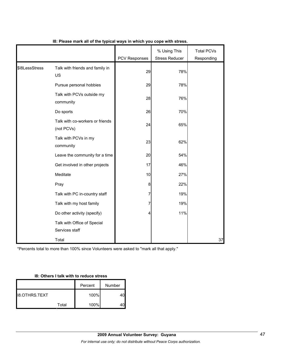|                |                                               | PCV Responses | % Using This<br><b>Stress Reducer</b> | <b>Total PCVs</b><br>Responding |
|----------------|-----------------------------------------------|---------------|---------------------------------------|---------------------------------|
| \$I8LessStress | Talk with friends and family in<br>US         | 29            | 78%                                   |                                 |
|                | Pursue personal hobbies                       | 29            | 78%                                   |                                 |
|                | Talk with PCVs outside my<br>community        | 28            | 76%                                   |                                 |
|                | Do sports                                     | 26            | 70%                                   |                                 |
|                | Talk with co-workers or friends<br>(not PCVs) | 24            | 65%                                   |                                 |
|                | Talk with PCVs in my<br>community             | 23            | 62%                                   |                                 |
|                | Leave the community for a time                | 20            | 54%                                   |                                 |
|                | Get involved in other projects                | 17            | 46%                                   |                                 |
|                | Meditate                                      | 10            | 27%                                   |                                 |
|                | Pray                                          | 8             | 22%                                   |                                 |
|                | Talk with PC in-country staff                 | 7             | 19%                                   |                                 |
|                | Talk with my host family                      | 7             | 19%                                   |                                 |
|                | Do other activity (specify)                   | 4             | 11%                                   |                                 |
|                | Talk with Office of Special<br>Services staff |               |                                       |                                 |
|                | Total                                         |               |                                       | 37                              |

## **I8: Please mark all of the typical ways in which you cope with stress.**

\*Percents total to more than 100% since Volunteers were asked to "mark all that apply."

## **I8: Others I talk with to reduce stress**

|                       |       | Percent | Number |
|-----------------------|-------|---------|--------|
| <b>I</b> 8.OTHRS.TEXT |       | 100%    |        |
|                       | Total | 100%    |        |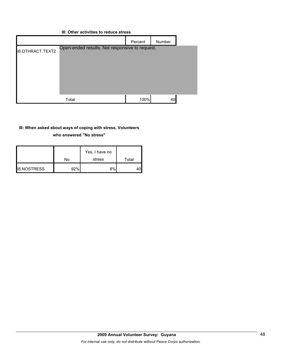| 18: Other activities to requce stress |                                                |         |        |  |  |
|---------------------------------------|------------------------------------------------|---------|--------|--|--|
|                                       |                                                | Percent | Number |  |  |
| <b>I8.OTHRACT.TEXT2</b>               | Open-ended results. Not responsive to request. |         |        |  |  |
|                                       | Total                                          | 100%    | 40     |  |  |

## **I8: Other activities to reduce stress**

### **I8: When asked about ways of coping with stress, Volunteers**

**who answered "No stress"** 

|                    | No  | Yes, I have no<br>stress | Total |
|--------------------|-----|--------------------------|-------|
| <b>I8.NOSTRESS</b> | 92% | 8%                       |       |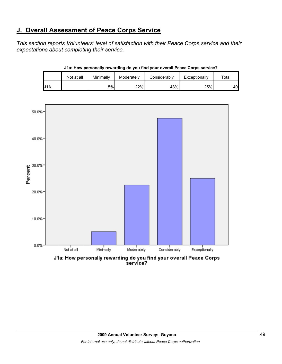# **J. Overall Assessment of Peace Corps Service**

*This section reports Volunteers' level of satisfaction with their Peace Corps service and their expectations about completing their service.* 

|     | Not at all | Minimally | Moderately | Considerably | Exceptionally | $\tau$ otal |
|-----|------------|-----------|------------|--------------|---------------|-------------|
| J1A |            | 5%        | 22%        | 48%          | 25%           | 40          |

**J1a: How personally rewarding do you find your overall Peace Corps service?**



J1a: How personally rewarding do you find your overall Peace Corps<br>service?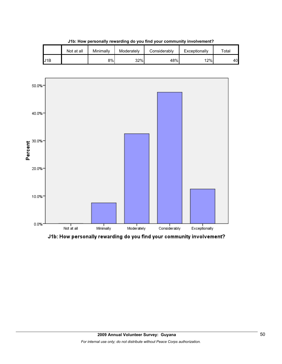|     | Not at all | Minimally | Moderately | Considerably | Exceptionally | Total |
|-----|------------|-----------|------------|--------------|---------------|-------|
| J1B |            | 8%        | 32%        | 48%          | 12%           | 40    |

**J1b: How personally rewarding do you find your community involvement?**



J1b: How personally rewarding do you find your community involvement?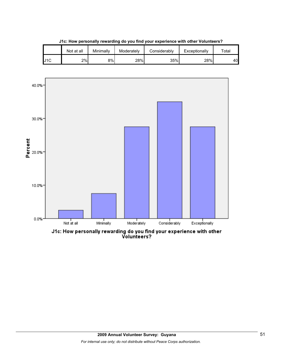|     | Not at all | Minimally | Moderately | Considerably | Exceptionally | ™ota⊩ |
|-----|------------|-----------|------------|--------------|---------------|-------|
| J1C | 2%         | 8%l       | 28%        | 35%          | 28%           | 40    |

**J1c: How personally rewarding do you find your experience with other Volunteers?**



J1c: How personally rewarding do you find your experience with other<br>Volunteers?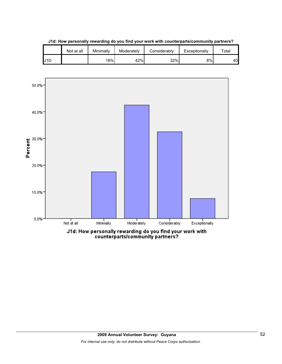

**J1d: How personally rewarding do you find your work with counterparts/community partners?**

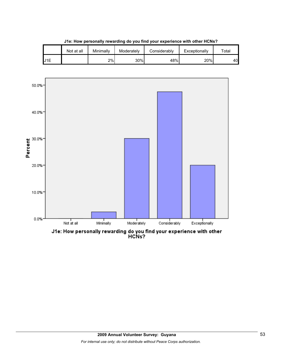|     | Not at all | Minimally | Moderately | Considerably | Exceptionally | $\tau$ otal |
|-----|------------|-----------|------------|--------------|---------------|-------------|
| U1E |            | 2%        | 30%        | 48%          | 20%           | 40          |

**J1e: How personally rewarding do you find your experience with other HCNs?**

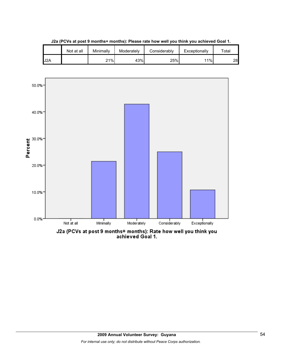

**J2a (PCVs at post 9 months+ months): Please rate how well you think you achieved Goal 1.**

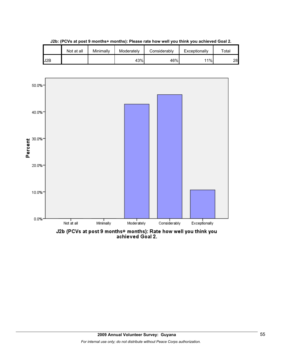

**J2b: (PCVs at post 9 months+ months): Please rate how well you think you achieved Goal 2.**

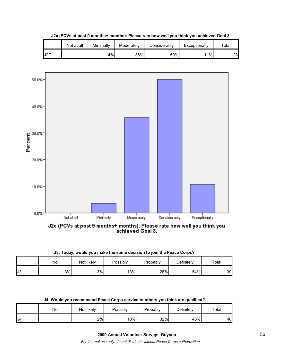

**J2c (PCVs at post 9 months+ months): Please rate how well you think you achieved Goal 3.**



J2c (PCVs at post 9 months+ months): Please rate how well you think you<br>achieved Goal 3.

|  | J3: Today, would you make the same decision to join the Peace Corps? |  |  |  |  |  |
|--|----------------------------------------------------------------------|--|--|--|--|--|
|  |                                                                      |  |  |  |  |  |

|     | Νo | Not likely | Possibly | Probably | Definitely | Total |
|-----|----|------------|----------|----------|------------|-------|
| IJ3 | 3% | 3%         | 13%      | 28%      | 54%        | 39    |

|  |  | J4: Would you recommend Peace Corps service to others you think are qualified? |  |
|--|--|--------------------------------------------------------------------------------|--|
|  |  |                                                                                |  |
|  |  |                                                                                |  |

|                | No | Not likely | <b>Possibly</b> | Probably | <b>Definitely</b> | Total |
|----------------|----|------------|-----------------|----------|-------------------|-------|
| J <sub>4</sub> |    | 2%         | 18%             | 32%      | 48%               | 40    |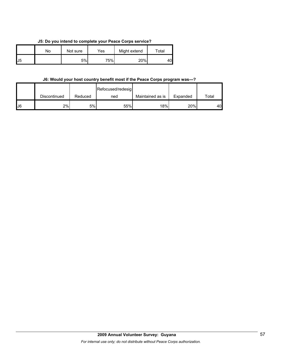**J5: Do you intend to complete your Peace Corps service?**

|    | N٥ | Not sure | Yes | Might extend | $\tau$ otal |
|----|----|----------|-----|--------------|-------------|
| J5 |    | 5%       | 75% | 20%          | 40          |

### **J6: Would your host country benefit most if the Peace Corps program was---?**

|              |              |         | Refocused/redesig |                  |          |       |
|--------------|--------------|---------|-------------------|------------------|----------|-------|
|              | Discontinued | Reduced | ned               | Maintained as is | Expanded | Total |
| $\mathsf{L}$ | 2%           | 5%      | 55%               | 18%              | 20%      | 40    |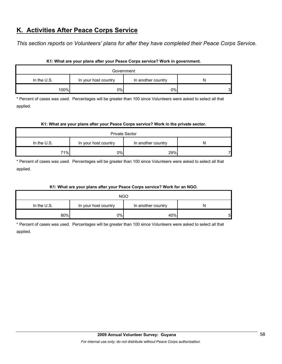# **K. Activities After Peace Corps Service**

*This section reports on Volunteers' plans for after they have completed their Peace Corps Service.* 

| Government    |                      |                    |        |  |  |  |  |
|---------------|----------------------|--------------------|--------|--|--|--|--|
| In the $U.S.$ | In your host country | In another country | N      |  |  |  |  |
| 100%          | $0\%$                | 0%                 | ć<br>ັ |  |  |  |  |

#### **K1: What are your plans after your Peace Corps service? Work in government.**

\* Percent of cases was used. Percentages will be greater than 100 since Volunteers were asked to select all that applied.

#### **K1: What are your plans after your Peace Corps service? Work in the private sector.**

| <b>Private Sector</b> |                      |                    |   |  |  |  |  |
|-----------------------|----------------------|--------------------|---|--|--|--|--|
| In the U.S.           | In your host country | In another country | N |  |  |  |  |
| 71%                   | 0%                   | 29%                |   |  |  |  |  |

\* Percent of cases was used. Percentages will be greater than 100 since Volunteers were asked to select all that applied.

## **K1: What are your plans after your Peace Corps service? Work for an NGO.**

|               | <b>NGO</b>           |                    |    |
|---------------|----------------------|--------------------|----|
| In the $U.S.$ | In your host country | In another country | N  |
| 80%           | 0%                   | 40%                | 51 |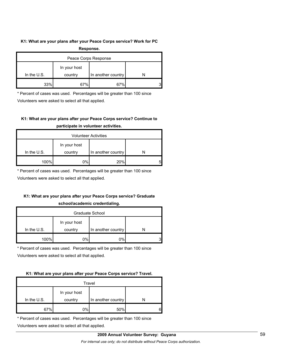#### **K1: What are your plans after your Peace Corps service? Work for PC**

| Response.            |         |                    |  |  |
|----------------------|---------|--------------------|--|--|
| Peace Corps Response |         |                    |  |  |
| In your host         |         |                    |  |  |
| In the $U.S.$        | country | In another country |  |  |
| 33%                  | 67%     | 67%                |  |  |

\* Percent of cases was used. Percentages will be greater than 100 since

Volunteers were asked to select all that applied.

## **K1: What are your plans after your Peace Corps service? Continue to participate in volunteer activities.**

| <b>Volunteer Activities</b> |              |                    |   |  |
|-----------------------------|--------------|--------------------|---|--|
|                             | In your host |                    |   |  |
| In the $U.S.$               | country      | In another country |   |  |
| 100%                        | 0%           | 20%                | 5 |  |

\* Percent of cases was used. Percentages will be greater than 100 since

Volunteers were asked to select all that applied.

## **K1: What are your plans after your Peace Corps service? Graduate**

#### **school/academic credentialing.**

| Graduate School |              |                    |  |  |
|-----------------|--------------|--------------------|--|--|
|                 | In your host |                    |  |  |
| In the U.S.     | country      | In another country |  |  |
| 100%            | 0%           | 0%                 |  |  |

\* Percent of cases was used. Percentages will be greater than 100 since

Volunteers were asked to select all that applied.

#### **K1: What are your plans after your Peace Corps service? Travel.**

| Travel      |              |                    |   |  |
|-------------|--------------|--------------------|---|--|
|             | In your host |                    |   |  |
| In the U.S. | country      | In another country |   |  |
| 67%         | 0%           | 50%                | ค |  |

\* Percent of cases was used. Percentages will be greater than 100 since

Volunteers were asked to select all that applied.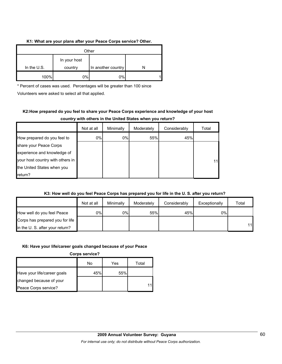#### **K1: What are your plans after your Peace Corps service? Other.**

| Other       |                                               |    |  |  |
|-------------|-----------------------------------------------|----|--|--|
| In the U.S. | In your host<br>In another country<br>country |    |  |  |
| 100%        | 0%                                            | 0% |  |  |

\* Percent of cases was used. Percentages will be greater than 100 since

Volunteers were asked to select all that applied.

## **K2:How prepared do you feel to share your Peace Corps experience and knowledge of your host country with others in the United States when you return?**

|                                  | Not at all | Minimally | Moderately | Considerably | Total |
|----------------------------------|------------|-----------|------------|--------------|-------|
| How prepared do you feel to      | 0%         | $0\%$     | 55%        | 45%          |       |
| share your Peace Corps           |            |           |            |              |       |
| experience and knowledge of      |            |           |            |              |       |
| your host country with others in |            |           |            |              | 11    |
| the United States when you       |            |           |            |              |       |
| return?                          |            |           |            |              |       |

## **K3: How well do you feel Peace Corps has prepared you for life in the U. S. after you return?**

|                                 | Not at all | Minimally | Moderately | Considerably | Exceptionally | Total |
|---------------------------------|------------|-----------|------------|--------------|---------------|-------|
| How well do you feel Peace      | 0%         | 0%        | 55%        | 45%          | $0\%$         |       |
| Corps has prepared you for life |            |           |            |              |               |       |
| in the U. S. after your return? |            |           |            |              |               | 11    |

## **K6: Have your life/career goals changed because of your Peace**

**Corps service?**

|                             | No  | Yes | Total |
|-----------------------------|-----|-----|-------|
| Have your life/career goals | 45% | 55% |       |
| changed because of your     |     |     |       |
| Peace Corps service?        |     |     |       |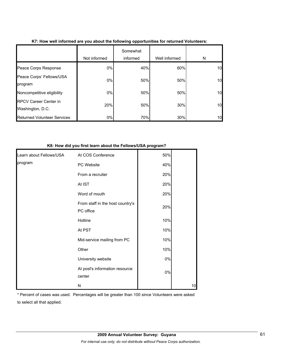|                                                  | Not informed | Somewhat<br>informed | Well informed | N  |
|--------------------------------------------------|--------------|----------------------|---------------|----|
| Peace Corps Response                             | 0%           | 40%                  | 60%           | 10 |
| Peace Corps' Fellows/USA<br>program              | $0\%$        | 50%                  | 50%           | 10 |
| Noncompetitive eligibility                       | $0\%$        | 50%                  | 50%           | 10 |
| <b>RPCV Career Center in</b><br>Washington, D.C. | 20%          | 50%                  | 30%           | 10 |
| <b>Returned Volunteer Services</b>               | 0%           | 70%                  | 30%           | 10 |

## **K7: How well informed are you about the following opportunities for returned Volunteers:**

#### **K8: How did you first learn about the Fellows/USA program?**

| Learn about Fellows/USA | At COS Conference                             | 50%   |    |
|-------------------------|-----------------------------------------------|-------|----|
| program                 | PC Website                                    | 40%   |    |
|                         | From a recruiter                              | 20%   |    |
|                         | At IST                                        | 20%   |    |
|                         | Word of mouth                                 | 20%   |    |
|                         | From staff in the host country's<br>PC office | 20%   |    |
|                         | Hotline                                       | 10%   |    |
|                         | At PST                                        | 10%   |    |
|                         | Mid-service mailing from PC                   | 10%   |    |
|                         | Other                                         | 10%   |    |
|                         | University website                            | $0\%$ |    |
|                         | At post's information resource<br>center      | 0%    |    |
|                         | N                                             |       | 10 |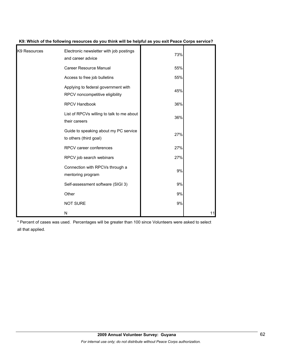| K9 Resources | Electronic newsletter with job postings<br>and career advice           | 73% |    |
|--------------|------------------------------------------------------------------------|-----|----|
|              | <b>Career Resource Manual</b>                                          | 55% |    |
|              | Access to free job bulletins                                           | 55% |    |
|              | Applying to federal government with<br>RPCV noncompetitive eligibility | 45% |    |
|              | <b>RPCV Handbook</b>                                                   | 36% |    |
|              | List of RPCVs willing to talk to me about<br>their careers             | 36% |    |
|              | Guide to speaking about my PC service<br>to others (third goal)        | 27% |    |
|              | RPCV career conferences                                                | 27% |    |
|              | RPCV job search webinars                                               | 27% |    |
|              | Connection with RPCVs through a<br>mentoring program                   | 9%  |    |
|              | Self-assessment software (SIGI 3)                                      | 9%  |    |
|              | Other                                                                  | 9%  |    |
|              | <b>NOT SURE</b>                                                        | 9%  |    |
|              | N                                                                      |     | 11 |

**K9: Which of the following resources do you think will be helpful as you exit Peace Corps service?**